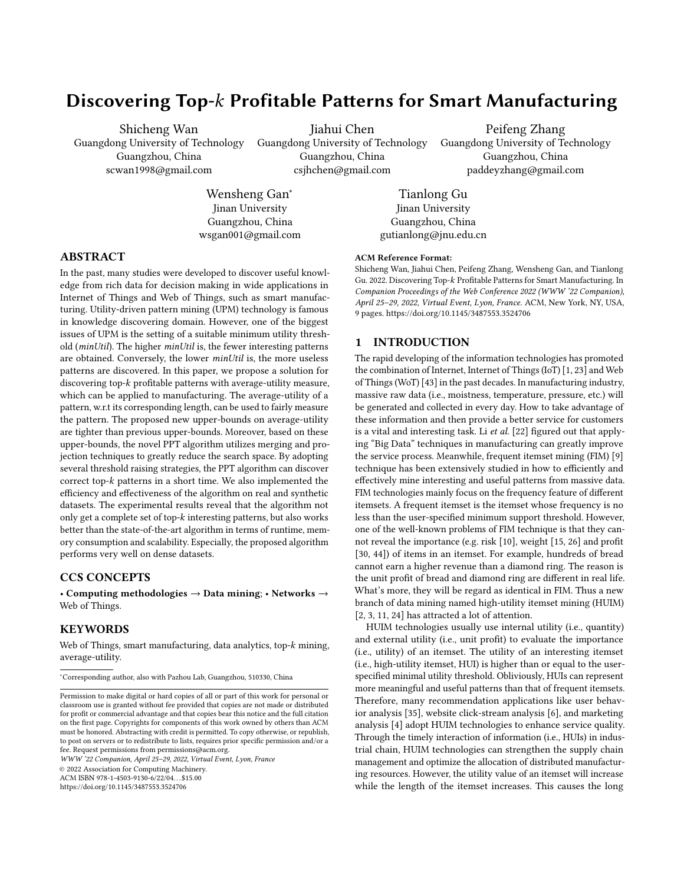# Discovering Top-k Profitable Patterns for Smart Manufacturing

Shicheng Wan Guangdong University of Technology Guangzhou, China scwan1998@gmail.com

Jiahui Chen

Guangdong University of Technology Guangzhou, China csjhchen@gmail.com

Peifeng Zhang Guangdong University of Technology Guangzhou, China paddeyzhang@gmail.com

Wensheng Gan<sup>∗</sup> Jinan University Guangzhou, China wsgan001@gmail.com

Tianlong Gu Jinan University Guangzhou, China gutianlong@jnu.edu.cn

# ABSTRACT

In the past, many studies were developed to discover useful knowledge from rich data for decision making in wide applications in Internet of Things and Web of Things, such as smart manufacturing. Utility-driven pattern mining (UPM) technology is famous in knowledge discovering domain. However, one of the biggest issues of UPM is the setting of a suitable minimum utility threshold (minUtil). The higher minUtil is, the fewer interesting patterns are obtained. Conversely, the lower minUtil is, the more useless patterns are discovered. In this paper, we propose a solution for discovering top-k profitable patterns with average-utility measure, which can be applied to manufacturing. The average-utility of a pattern, w.r.t its corresponding length, can be used to fairly measure the pattern. The proposed new upper-bounds on average-utility are tighter than previous upper-bounds. Moreover, based on these upper-bounds, the novel PPT algorithm utilizes merging and projection techniques to greatly reduce the search space. By adopting several threshold raising strategies, the PPT algorithm can discover correct top-k patterns in a short time. We also implemented the efficiency and effectiveness of the algorithm on real and synthetic datasets. The experimental results reveal that the algorithm not only get a complete set of top-k interesting patterns, but also works better than the state-of-the-art algorithm in terms of runtime, memory consumption and scalability. Especially, the proposed algorithm performs very well on dense datasets.

# CCS CONCEPTS

• Computing methodologies  $\rightarrow$  Data mining; • Networks  $\rightarrow$ Web of Things.

# **KEYWORDS**

Web of Things, smart manufacturing, data analytics, top- $k$  mining, average-utility.

WWW '22 Companion, April 25–29, 2022, Virtual Event, Lyon, France

© 2022 Association for Computing Machinery.

ACM ISBN 978-1-4503-9130-6/22/04. . . \$15.00

<https://doi.org/10.1145/3487553.3524706>

#### ACM Reference Format:

Shicheng Wan, Jiahui Chen, Peifeng Zhang, Wensheng Gan, and Tianlong Gu. 2022. Discovering Top-k Profitable Patterns for Smart Manufacturing. In Companion Proceedings of the Web Conference 2022 (WWW '22 Companion), April 25–29, 2022, Virtual Event, Lyon, France. ACM, New York, NY, USA, [9](#page-8-0) pages.<https://doi.org/10.1145/3487553.3524706>

## 1 INTRODUCTION

The rapid developing of the information technologies has promoted the combination of Internet, Internet of Things (IoT) [\[1,](#page-7-0) [23\]](#page-7-1) and Web of Things (WoT) [\[43\]](#page-8-1) in the past decades. In manufacturing industry, massive raw data (i.e., moistness, temperature, pressure, etc.) will be generated and collected in every day. How to take advantage of these information and then provide a better service for customers is a vital and interesting task. Li  $et$  al. [\[22\]](#page-7-2) figured out that applying "Big Data" techniques in manufacturing can greatly improve the service process. Meanwhile, frequent itemset mining (FIM) [\[9\]](#page-7-3) technique has been extensively studied in how to efficiently and effectively mine interesting and useful patterns from massive data. FIM technologies mainly focus on the frequency feature of different itemsets. A frequent itemset is the itemset whose frequency is no less than the user-specified minimum support threshold. However, one of the well-known problems of FIM technique is that they cannot reveal the importance (e.g. risk [\[10\]](#page-7-4), weight [\[15,](#page-7-5) [26\]](#page-7-6) and profit [\[30,](#page-7-7) [44\]](#page-8-2)) of items in an itemset. For example, hundreds of bread cannot earn a higher revenue than a diamond ring. The reason is the unit profit of bread and diamond ring are different in real life. What's more, they will be regard as identical in FIM. Thus a new branch of data mining named high-utility itemset mining (HUIM) [\[2,](#page-7-8) [3,](#page-7-9) [11,](#page-7-10) [24\]](#page-7-11) has attracted a lot of attention.

HUIM technologies usually use internal utility (i.e., quantity) and external utility (i.e., unit profit) to evaluate the importance (i.e., utility) of an itemset. The utility of an interesting itemset (i.e., high-utility itemset, HUI) is higher than or equal to the userspecified minimal utility threshold. Obliviously, HUIs can represent more meaningful and useful patterns than that of frequent itemsets. Therefore, many recommendation applications like user behavior analysis [\[35\]](#page-8-3), website click-stream analysis [\[6\]](#page-7-12), and marketing analysis [\[4\]](#page-7-13) adopt HUIM technologies to enhance service quality. Through the timely interaction of information (i.e., HUIs) in industrial chain, HUIM technologies can strengthen the supply chain management and optimize the allocation of distributed manufacturing resources. However, the utility value of an itemset will increase while the length of the itemset increases. This causes the long

<sup>∗</sup>Corresponding author, also with Pazhou Lab, Guangzhou, 510330, China

Permission to make digital or hard copies of all or part of this work for personal or classroom use is granted without fee provided that copies are not made or distributed for profit or commercial advantage and that copies bear this notice and the full citation on the first page. Copyrights for components of this work owned by others than ACM must be honored. Abstracting with credit is permitted. To copy otherwise, or republish, to post on servers or to redistribute to lists, requires prior specific permission and/or a fee. Request permissions from permissions@acm.org.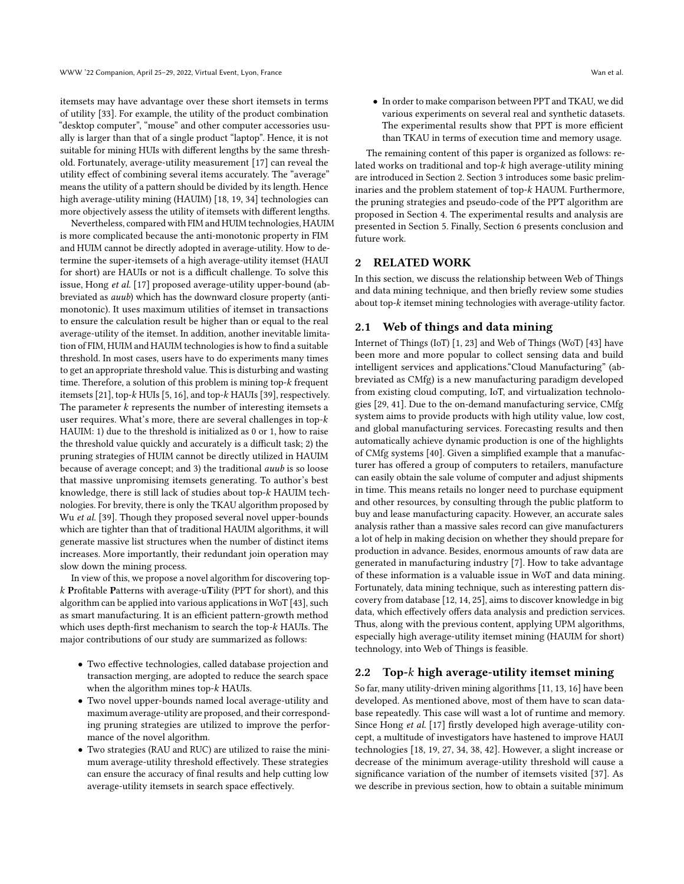itemsets may have advantage over these short itemsets in terms of utility [\[33\]](#page-8-4). For example, the utility of the product combination "desktop computer", "mouse" and other computer accessories usually is larger than that of a single product "laptop". Hence, it is not suitable for mining HUIs with different lengths by the same threshold. Fortunately, average-utility measurement [\[17\]](#page-7-14) can reveal the utility effect of combining several items accurately. The "average" means the utility of a pattern should be divided by its length. Hence high average-utility mining (HAUIM) [\[18,](#page-7-15) [19,](#page-7-16) [34\]](#page-8-5) technologies can more objectively assess the utility of itemsets with different lengths.

Nevertheless, compared with FIM and HUIM technologies, HAUIM is more complicated because the anti-monotonic property in FIM and HUIM cannot be directly adopted in average-utility. How to determine the super-itemsets of a high average-utility itemset (HAUI for short) are HAUIs or not is a difficult challenge. To solve this issue, Hong et al. [\[17\]](#page-7-14) proposed average-utility upper-bound (abbreviated as auub) which has the downward closure property (antimonotonic). It uses maximum utilities of itemset in transactions to ensure the calculation result be higher than or equal to the real average-utility of the itemset. In addition, another inevitable limitation of FIM, HUIM and HAUIM technologies is how to find a suitable threshold. In most cases, users have to do experiments many times to get an appropriate threshold value. This is disturbing and wasting time. Therefore, a solution of this problem is mining top-k frequent itemsets [\[21\]](#page-7-17), top-k HUIs [\[5,](#page-7-18) [16\]](#page-7-19), and top-k HAUIs [\[39\]](#page-8-6), respectively. The parameter  $k$  represents the number of interesting itemsets a user requires. What's more, there are several challenges in top-k HAUIM: 1) due to the threshold is initialized as 0 or 1, how to raise the threshold value quickly and accurately is a difficult task; 2) the pruning strategies of HUIM cannot be directly utilized in HAUIM because of average concept; and 3) the traditional auub is so loose that massive unpromising itemsets generating. To author's best knowledge, there is still lack of studies about top-k HAUIM technologies. For brevity, there is only the TKAU algorithm proposed by Wu *et al.* [\[39\]](#page-8-6). Though they proposed several novel upper-bounds which are tighter than that of traditional HAUIM algorithms, it will generate massive list structures when the number of distinct items increases. More importantly, their redundant join operation may slow down the mining process.

In view of this, we propose a novel algorithm for discovering top $k$  Profitable Patterns with average-uTility (PPT for short), and this algorithm can be applied into various applications in WoT [\[43\]](#page-8-1), such as smart manufacturing. It is an efficient pattern-growth method which uses depth-first mechanism to search the top-k HAUIs. The major contributions of our study are summarized as follows:

- Two effective technologies, called database projection and transaction merging, are adopted to reduce the search space when the algorithm mines top- $k$  HAUIs.
- Two novel upper-bounds named local average-utility and maximum average-utility are proposed, and their corresponding pruning strategies are utilized to improve the performance of the novel algorithm.
- Two strategies (RAU and RUC) are utilized to raise the minimum average-utility threshold effectively. These strategies can ensure the accuracy of final results and help cutting low average-utility itemsets in search space effectively.

• In order to make comparison between PPT and TKAU, we did various experiments on several real and synthetic datasets. The experimental results show that PPT is more efficient than TKAU in terms of execution time and memory usage.

The remaining content of this paper is organized as follows: related works on traditional and top-k high average-utility mining are introduced in Section [2.](#page-1-0) Section [3](#page-2-0) introduces some basic preliminaries and the problem statement of top-k HAUM. Furthermore, the pruning strategies and pseudo-code of the PPT algorithm are proposed in Section [4.](#page-2-1) The experimental results and analysis are presented in Section [5.](#page-5-0) Finally, Section [6](#page-6-0) presents conclusion and future work.

## <span id="page-1-0"></span>2 RELATED WORK

In this section, we discuss the relationship between Web of Things and data mining technique, and then briefly review some studies about top-k itemset mining technologies with average-utility factor.

#### 2.1 Web of things and data mining

Internet of Things (IoT) [\[1,](#page-7-0) [23\]](#page-7-1) and Web of Things (WoT) [\[43\]](#page-8-1) have been more and more popular to collect sensing data and build intelligent services and applications."Cloud Manufacturing" (abbreviated as CMfg) is a new manufacturing paradigm developed from existing cloud computing, IoT, and virtualization technologies [\[29,](#page-7-20) [41\]](#page-8-7). Due to the on-demand manufacturing service, CMfg system aims to provide products with high utility value, low cost, and global manufacturing services. Forecasting results and then automatically achieve dynamic production is one of the highlights of CMfg systems [\[40\]](#page-8-8). Given a simplified example that a manufacturer has offered a group of computers to retailers, manufacture can easily obtain the sale volume of computer and adjust shipments in time. This means retails no longer need to purchase equipment and other resources, by consulting through the public platform to buy and lease manufacturing capacity. However, an accurate sales analysis rather than a massive sales record can give manufacturers a lot of help in making decision on whether they should prepare for production in advance. Besides, enormous amounts of raw data are generated in manufacturing industry [\[7\]](#page-7-21). How to take advantage of these information is a valuable issue in WoT and data mining. Fortunately, data mining technique, such as interesting pattern discovery from database [\[12,](#page-7-22) [14,](#page-7-23) [25\]](#page-7-24), aims to discover knowledge in big data, which effectively offers data analysis and prediction services. Thus, along with the previous content, applying UPM algorithms, especially high average-utility itemset mining (HAUIM for short) technology, into Web of Things is feasible.

#### 2.2 Top-k high average-utility itemset mining

So far, many utility-driven mining algorithms [\[11,](#page-7-10) [13,](#page-7-25) [16\]](#page-7-19) have been developed. As mentioned above, most of them have to scan database repeatedly. This case will wast a lot of runtime and memory. Since Hong et al. [\[17\]](#page-7-14) firstly developed high average-utility concept, a multitude of investigators have hastened to improve HAUI technologies [\[18,](#page-7-15) [19,](#page-7-16) [27,](#page-7-26) [34,](#page-8-5) [38,](#page-8-9) [42\]](#page-8-10). However, a slight increase or decrease of the minimum average-utility threshold will cause a significance variation of the number of itemsets visited [\[37\]](#page-8-11). As we describe in previous section, how to obtain a suitable minimum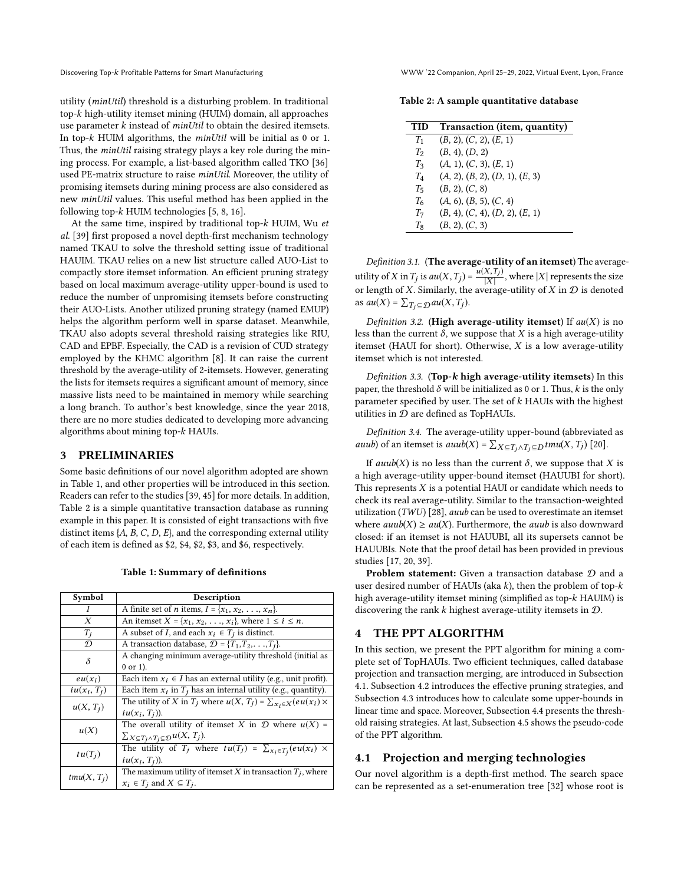utility (minUtil) threshold is a disturbing problem. In traditional top-k high-utility itemset mining (HUIM) domain, all approaches use parameter k instead of minUtil to obtain the desired itemsets. In top-k HUIM algorithms, the minUtil will be initial as 0 or 1. Thus, the *minUtil* raising strategy plays a key role during the mining process. For example, a list-based algorithm called TKO [\[36\]](#page-8-12) used PE-matrix structure to raise minUtil. Moreover, the utility of promising itemsets during mining process are also considered as new minUtil values. This useful method has been applied in the following top-k HUIM technologies [\[5,](#page-7-18) [8,](#page-7-27) [16\]](#page-7-19).

At the same time, inspired by traditional top-k HUIM, Wu et al. [\[39\]](#page-8-6) first proposed a novel depth-first mechanism technology named TKAU to solve the threshold setting issue of traditional HAUIM. TKAU relies on a new list structure called AUO-List to compactly store itemset information. An efficient pruning strategy based on local maximum average-utility upper-bound is used to reduce the number of unpromising itemsets before constructing their AUO-Lists. Another utilized pruning strategy (named EMUP) helps the algorithm perform well in sparse dataset. Meanwhile, TKAU also adopts several threshold raising strategies like RIU, CAD and EPBF. Especially, the CAD is a revision of CUD strategy employed by the KHMC algorithm [\[8\]](#page-7-27). It can raise the current threshold by the average-utility of 2-itemsets. However, generating the lists for itemsets requires a significant amount of memory, since massive lists need to be maintained in memory while searching a long branch. To author's best knowledge, since the year 2018, there are no more studies dedicated to developing more advancing algorithms about mining top-k HAUIs.

#### <span id="page-2-0"></span>3 PRELIMINARIES

Some basic definitions of our novel algorithm adopted are shown in Table [1,](#page-2-2) and other properties will be introduced in this section. Readers can refer to the studies [\[39,](#page-8-6) [45\]](#page-8-13) for more details. In addition, Table [2](#page-2-3) is a simple quantitative transaction database as running example in this paper. It is consisted of eight transactions with five distinct items  $\{A, B, C, D, E\}$ , and the corresponding external utility of each item is defined as \$2, \$4, \$2, \$3, and \$6, respectively.

#### Table 1: Summary of definitions

<span id="page-2-2"></span>

| Symbol         | Description                                                                    |
|----------------|--------------------------------------------------------------------------------|
| I              | A finite set of <i>n</i> items, $I = \{x_1, x_2, \ldots, x_n\}.$               |
| Х              | An itemset $X = \{x_1, x_2, \ldots, x_i\}$ , where $1 \le i \le n$ .           |
| $T_i$          | A subset of I, and each $x_i \in T_i$ is distinct.                             |
| $\mathcal{D}$  | A transaction database, $\mathcal{D} = \{T_1, T_2, \ldots, T_i\}$ .            |
| $\delta$       | A changing minimum average-utility threshold (initial as                       |
|                | $0$ or $1$ ).                                                                  |
| $eu(x_i)$      | Each item $x_i \in I$ has an external utility (e.g., unit profit).             |
| $iu(x_i, T_i)$ | Each item $x_i$ in $T_i$ has an internal utility (e.g., quantity).             |
| $u(X, T_i)$    | The utility of X in $T_i$ where $u(X, T_i) = \sum_{X_i \in X} (eu(x_i) \times$ |
|                | $iu(x_i, T_i)$ ).                                                              |
| u(X)           | The overall utility of itemset X in $\mathcal D$ where $u(X) =$                |
|                | $\sum_{X \subseteq T_i \wedge T_j \subseteq \mathcal{D}} u(X, T_j).$           |
| $tu(T_i)$      | The utility of $T_j$ where $tu(T_j) = \sum_{x_i \in T_j} (eu(x_i) \times$      |
|                | $iu(x_i, T_i)$ ).                                                              |
| $tmu(X, T_i)$  | The maximum utility of itemset X in transaction $T_i$ , where                  |
|                | $x_i \in T_i$ and $X \subseteq T_i$ .                                          |

Discovering Top-k Profitable Patterns for Smart Manufacturing WWW '22 Companion, April 25–29, 2022, Virtual Event, Lyon, France

<span id="page-2-3"></span>Table 2: A sample quantitative database

| TID            | Transaction (item, quantity)   |
|----------------|--------------------------------|
| $T_1$          | (B, 2), (C, 2), (E, 1)         |
| $T_2$          | (B, 4), (D, 2)                 |
| T <sub>3</sub> | (A, 1), (C, 3), (E, 1)         |
| $T_{4}$        | (A, 2), (B, 2), (D, 1), (E, 3) |
| T <sub>5</sub> | (B, 2), (C, 8)                 |
| T <sub>6</sub> | (A, 6), (B, 5), (C, 4)         |
| T <sub>7</sub> | (B, 4), (C, 4), (D, 2), (E, 1) |
| $T_8$          | (B, 2), (C, 3)                 |
|                |                                |

Definition 3.1. (The average-utility of an itemset) The averageutility of X in T<sub>j</sub> is  $au(X, T_j) = \frac{u(X, T_j)}{|X|}$ <br>an langth of X. Similarly, the assumer  $\frac{X, I_j)}{|X|}$ , where  $|X|$  represents the size<br>erage-utility of X in  $\Omega$  is denoted or length of X. Similarly, the average-utility of X in  $\mathcal D$  is denoted<br>as  $au(X)$  =  $\Sigma$  =  $au(X, T_1)$ as  $au(X) = \sum_{T_j \subseteq \mathcal{D}} au(X, T_j)$ .

Definition 3.2. (High average-utility itemset) If  $au(X)$  is no less than the current  $\delta$ , we suppose that X is a high average-utility itemset (HAUI for short). Otherwise,  $X$  is a low average-utility itemset which is not interested.

Definition 3.3. (Top- $k$  high average-utility itemsets) In this paper, the threshold  $\delta$  will be initialized as 0 or 1. Thus, k is the only parameter specified by user. The set of  $k$  HAUIs with the highest utilities in  $D$  are defined as TopHAUIs.

Definition 3.4. The average-utility upper-bound (abbreviated as *auub*) of an itemset is *auub*(*X*) =  $\sum_{X \subseteq T_j \land T_j \subseteq D} \text{tmu}(X, T_j)$  [\[20\]](#page-7-28).

If  $a u u b(X)$  is no less than the current  $\delta$ , we suppose that X is a high average-utility upper-bound itemset (HAUUBI for short). This represents  $X$  is a potential HAUI or candidate which needs to check its real average-utility. Similar to the transaction-weighted utilization (TWU) [\[28\]](#page-7-29), auub can be used to overestimate an itemset where  $a u u b(X) \geq a u(X)$ . Furthermore, the *auub* is also downward closed: if an itemset is not HAUUBI, all its supersets cannot be HAUUBIs. Note that the proof detail has been provided in previous studies [\[17,](#page-7-14) [20,](#page-7-28) [39\]](#page-8-6).

**Problem statement:** Given a transaction database  $D$  and a user desired number of HAUIs (aka  $k$ ), then the problem of top- $k$ high average-utility itemset mining (simplified as top-k HAUIM) is discovering the rank  $k$  highest average-utility itemsets in  $D$ .

### <span id="page-2-1"></span>THE PPT ALGORITHM

In this section, we present the PPT algorithm for mining a complete set of TopHAUIs. Two efficient techniques, called database projection and transaction merging, are introduced in Subsection [4.1.](#page-2-4) Subsection [4.2](#page-3-0) introduces the effective pruning strategies, and Subsection [4.3](#page-4-0) introduces how to calculate some upper-bounds in linear time and space. Moreover, Subsection [4.4](#page-4-1) presents the threshold raising strategies. At last, Subsection [4.5](#page-4-2) shows the pseudo-code of the PPT algorithm.

### <span id="page-2-4"></span>4.1 Projection and merging technologies

Our novel algorithm is a depth-first method. The search space can be represented as a set-enumeration tree [\[32\]](#page-8-14) whose root is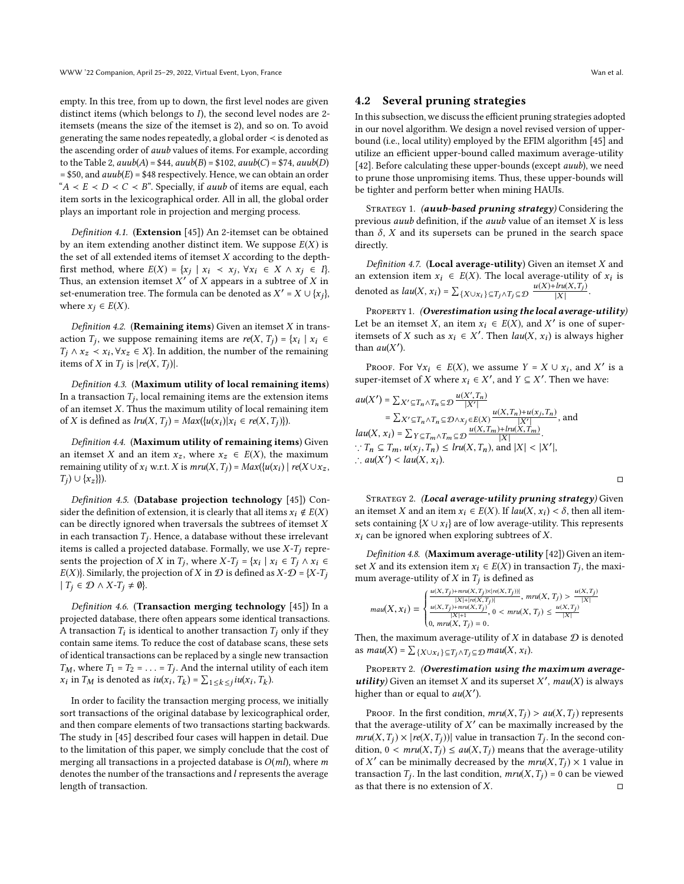empty. In this tree, from up to down, the first level nodes are given distinct items (which belongs to I), the second level nodes are 2 itemsets (means the size of the itemset is 2), and so on. To avoid generating the same nodes repeatedly, a global order  $\prec$  is denoted as the ascending order of auub values of items. For example, according to the Table [2,](#page-2-3)  $a uub(A) = $44$ ,  $a uub(B) = $102$ ,  $a uub(C) = $74$ ,  $a uub(D)$  $= $50$ , and  $a uub(E) = $48$  respectively. Hence, we can obtain an order " $A \prec E \prec D \prec C \prec B$ ". Specially, if *auub* of items are equal, each item sorts in the lexicographical order. All in all, the global order plays an important role in projection and merging process.

Definition 4.1. (Extension [\[45\]](#page-8-13)) An 2-itemset can be obtained by an item extending another distinct item. We suppose  $E(X)$  is the set of all extended items of itemset  $X$  according to the depthfirst method, where  $E(X) = \{x_j \mid x_i \leq x_j, \forall x_i \in X \land x_j \in I\}$ .<br>Thus an extension itemset  $Y'$  of X appears in a subtree of X in Thus, an extension itemset X' of X appears in a subtree of X in set-enumeration tree. The formula can be denoted as  $Y' = Y \cup \{x\}$ set-enumeration tree. The formula can be denoted as  $X' = X \cup \{x_j\}$ , where  $x_j \in E(X)$ .

Definition 4.2. (**Remaining items**) Given an itemset  $X$  in transaction  $T_j$ , we suppose remaining items are  $re(X, T_j) = \{x_i \mid x_i \in T : \land x_i \leq x \land \forall x_i \in Y\}$  in addition, the number of the remaining  $T_j \wedge x_z \leq x_i, \forall x_z \in X$ . In addition, the number of the remaining<br>items of X in T, is  $|x_0(Y, T_1)|$ items of X in  $T_j$  is  $|re(X, T_j)|$ .

Definition 4.3. (Maximum utility of local remaining items) In a transaction  $T_j$ , local remaining items are the extension items of an itemset  $X$ . Thus the maximum utility of local remaining item of an itemset  $X$ . Thus the maximum utility of local remaining item of X is defined as  $lru(X, T_j) = Max({u(x_i)|x_i \in re(X, T_j)}).$ 

Definition 4.4. (Maximum utility of remaining items) Given an itemset X and an item  $x_z$ , where  $x_z \in E(X)$ , the maximum remaining utility of  $x_i$  w.r.t. X is  $mru(X, T_j) = Max({u(x_i) \mid re(X \cup x_z, T_1) \cup x_i \cup x_j})$  $T_j) \cup \{x_z\}$ .

Definition 4.5. (Database projection technology [\[45\]](#page-8-13)) Consider the definition of extension, it is clearly that all items  $x_i \notin E(X)$ can be directly ignored when traversals the subtrees of itemset X in each transaction  $T_j$ . Hence, a database without these irrelevant<br>items is called a projected database. Formally, we use  $X-T$ , repreitems is called a projected database. Formally, we use  $X-T_i$  represents the projection of X in T<sub>j</sub>, where X-T<sub>j</sub> = {x<sub>i</sub> | x<sub>i</sub> ∈ T<sub>j</sub> ∧ x<sub>i</sub> ∈  $F(Y)$  Similarly the projection of X in  $\Omega$  is defined as  $X - \Omega - I X - T$ .  $E(X)$ . Similarly, the projection of X in  $\mathcal D$  is defined as  $X - \mathcal D = \{X - T_j\}$  $| T_j \in \mathcal{D} \wedge X - T_j \neq \emptyset$ .

Definition 4.6. (Transaction merging technology [\[45\]](#page-8-13)) In a projected database, there often appears some identical transactions. A transaction  $T_i$  is identical to another transaction  $T_j$  only if they contain same items. To reduce the cost of database scape, these sets contain same items. To reduce the cost of database scans, these sets of identical transactions can be replaced by a single new transaction  $T_M$ , where  $T_1 = T_2 = \ldots = T_j$ . And the internal utility of each item<br>x: in  $T_M$  is denoted as  $i\mu(x, T_1) = \sum_{x \in M} i\mu(x, T_1)$  $x_i$  in  $T_M$  is denoted as  $iu(x_i, T_k) = \sum_{1 \le k \le j} iu(x_i, T_k)$ .

In order to facility the transaction merging process, we initially sort transactions of the original database by lexicographical order, and then compare elements of two transactions starting backwards. The study in [\[45\]](#page-8-13) described four cases will happen in detail. Due to the limitation of this paper, we simply conclude that the cost of merging all transactions in a projected database is  $O(ml)$ , where m denotes the number of the transactions and l represents the average length of transaction.

#### <span id="page-3-0"></span>4.2 Several pruning strategies

In this subsection, we discuss the efficient pruning strategies adopted in our novel algorithm. We design a novel revised version of upperbound (i.e., local utility) employed by the EFIM algorithm [\[45\]](#page-8-13) and utilize an efficient upper-bound called maximum average-utility [\[42\]](#page-8-10). Before calculating these upper-bounds (except *auub*), we need to prune those unpromising items. Thus, these upper-bounds will be tighter and perform better when mining HAUIs.

<span id="page-3-1"></span>STRATEGY 1. (auub-based pruning strategy) Considering the previous auub definition, if the auub value of an itemset X is less than  $\delta$ , X and its supersets can be pruned in the search space directly.

Definition 4.7. (Local average-utility) Given an itemset  $X$  and an extension item  $x_i \in E(X)$ . The local average-utility of  $x_i$  is denoted as  $lau(X, x_i) = \sum_{\{X \cup x_i\} \subseteq T_j \land T_j \subseteq \mathcal{D}} \frac{u(X) + lru(X, T_j)}{|X|}$  $|X|$ .

PROPERTY 1. (Overestimation using the local average-utility) Let be an itemset X, an item  $x_i \in E(X)$ , and X' is one of super-<br>itemsets of X such as  $x_i \in Y'$ . Then  $lu(X, x_i)$  is always higher itemsets of *X* such as  $x_i \in X'$ . Then  $lau(X, x_i)$  is always higher<br>than  $au(Y')$ than  $au(X')$ .

PROOF. For  $\forall x_i \in E(X)$ , we assume  $Y = X \cup x_i$ , and X' is a par-itemped of X where  $x_i \in X'$  and  $Y \subset Y'$ . Then we have: super-itemset of *X* where  $x_i \in X'$ , and  $Y \subseteq X'$ . Then we have:

$$
au(X') = \sum_{X' \subseteq T_n \land T_n \subseteq \mathcal{D}} \frac{u(X', T_n)}{|X'|}
$$
  
\n
$$
= \sum_{X' \subseteq T_n \land T_n \subseteq \mathcal{D} \land x_j \in E(X)} \frac{u(X, T_n) + u(x_j, T_n)}{|X'|},
$$
 and  
\n
$$
lau(X, x_i) = \sum_{Y \subseteq T_m \land T_m \subseteq \mathcal{D}} \frac{u(X, T_m) + lru(X, T_m)}{|X|}.
$$
  
\n
$$
\therefore T_n \subseteq T_m, u(x_j, T_n) \leq lru(X, T_n),
$$
 and  $|X| < |X'|,$   
\n
$$
\therefore au(X') < lau(X, x_i).
$$

 $\Box$ 

STRATEGY 2. (Local average-utility pruning strategy) Given an itemset X and an item  $x_i \in E(X)$ . If  $law(X, x_i) < \delta$ , then all item-<br>sets containing  ${X \cup x_i}$  are of low average-utility. This represents sets containing  $\{X \cup x_i\}$  are of low average-utility. This represents  $x_i$  can be ignored when exploring subtrees of  $Y$  $x_i$  can be ignored when exploring subtrees of  $X$ .

Definition 4.8. (Maximum average-utility [\[42\]](#page-8-10)) Given an itemset X and its extension item  $x_i \in E(X)$  in transaction  $T_j$ , the maxi-<br>mum average-utility of X in T, is defined as mum average-utility of X in  $T_j$  is defined as

$$
max(X, x_i) = \begin{cases} \frac{u(X, T_j) + mru(X, T_j) \times |re(X, T_j)|}{|X| + |re(X, T_j)|}, mru(X, T_j) > \frac{u(X, T_j)}{|X|} \\ \frac{u(X, T_j) + mru(X, T_j)}{|X| + 1}, 0 < mru(X, T_j) \le \frac{u(X, T_j)}{|X|} \\ 0, mru(X, T_j) = 0. \end{cases}
$$

Then, the maximum average-utility of X in database  $\mathcal{D}$  is denoted<br>as  $max(W) = \sum_{x \in \mathcal{D}} max(W, x)$ as  $\textit{mau}(X) = \sum_{\{X \cup x_i\} \subseteq T_j \land T_j \subseteq \mathcal{D}} \textit{mau}(X, x_i).$ 

PROPERTY 2. (Overestimation using the maximum average**utility**) Given an itemset X and its superset X',  $mau(X)$  is always higher than or equal to  $au(Y')$ higher than or equal to  $au(X')$ .

PROOF. In the first condition,  $mru(X, T_i) > au(X, T_i)$  represents that the average-utility of X' can be maximally increased by the mru(X, T.)  $\times$   $\lfloor re(X, T_1) \rfloor$  value in transaction T. In the second con $mru(X, T_j) \times |re(X, T_j)|$  value in transaction  $T_j$ . In the second con-<br>dition  $0 \leq mru(X, T_i) \leq au(X, T_i)$  means that the average utility dition,  $0 < \text{mru}(X, T_i) \leq \text{au}(X, T_i)$  means that the average-utility of X' can be minimally decreased by the  $mru(X, T_j) \times 1$  value in<br>transaction T. In the last condition  $mru(X, T_i) = 0$  can be viewed transaction  $T_j$ . In the last condition,  $mru(X, T_j) = 0$  can be viewed<br>as that there is no extension of X as that there is no extension of  $X$ .  $\Box$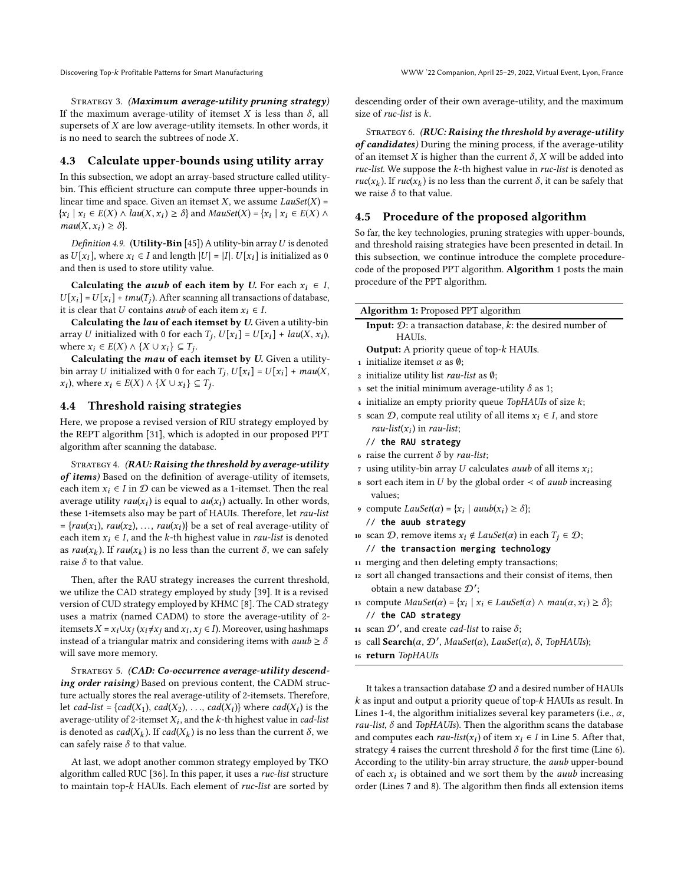STRATEGY 3. (Maximum average-utility pruning strategy) If the maximum average-utility of itemset X is less than  $\delta$ , all supersets of  $X$  are low average-utility itemsets. In other words, it is no need to search the subtrees of node X.

#### <span id="page-4-0"></span>4.3 Calculate upper-bounds using utility array

In this subsection, we adopt an array-based structure called utilitybin. This efficient structure can compute three upper-bounds in linear time and space. Given an itemset X, we assume  $Lauset(X) =$  $\{x_i \mid x_i \in E(X) \land \text{law}(X, x_i) \ge \delta\}$  and  $\text{Mauset}(X) = \{x_i \mid x_i \in E(X) \land \text{max}(X, x_i) > \delta\}$  $max(X, x_i) \geq \delta$ .

Definition 4.9. (Utility-Bin [\[45\]](#page-8-13)) A utility-bin array  $U$  is denoted as  $U[x_i]$ , where  $x_i \in I$  and length  $|U| = |I|$ .  $U[x_i]$  is initialized as 0 and then is used to store utility value.

Calculating the *auub* of each item by U. For each  $x_i \in I$ ,  $U[x_i] = U[x_i] + tmu(T_j)$ . After scanning all transactions of database,<br>it is clear that *U* contains *auth* of each item  $x_i \in I$ it is clear that U contains *auub* of each item  $x_i \in I$ .

Calculating the  $lau$  of each itemset by  $U$ . Given a utility-bin array U initialized with 0 for each  $T_j$ ,  $U[x_i] = U[x_i] + Iau(X, x_i)$ , where  $x_i \in E(X) \land \{X \cup x_i\} \subseteq T_j$ .<br>Colculating the may of each

Calculating the mau of each itemset by U. Given a utilitybin array U initialized with 0 for each  $T_j$ ,  $U[x_i] = U[x_i] + \text{max}(X,$ <br>x:) where  $x_i \in F(X) \land fX \cup x_j$  $x_i$ ), where  $x_i \in E(X) \land \{X \cup x_i\} \subseteq T_j$ .

## <span id="page-4-1"></span>4.4 Threshold raising strategies

Here, we propose a revised version of RIU strategy employed by the REPT algorithm [\[31\]](#page-8-15), which is adopted in our proposed PPT algorithm after scanning the database.

<span id="page-4-4"></span>STRATEGY 4. (RAU: Raising the threshold by average-utility of items) Based on the definition of average-utility of itemsets, each item  $x_i \in I$  in  $D$  can be viewed as a 1-itemset. Then the real average utility  $rau(x_i)$  is equal to  $au(x_i)$  actually. In other words,<br>these 1-itemsets also may be nart of HALUs. Therefore, let rau-list these 1-itemsets also may be part of HAUIs. Therefore, let rau-list = { $rau(x_1)$ ,  $rau(x_2)$ , ...,  $rau(x_i)$ } be a set of real average-utility of each item  $x_i \in I$  and the k-th bighest value in rau-list is denoted each item  $x_i \in I$ , and the k-th highest value in *rau-list* is denoted as  $rau(x_k)$ . If  $rau(x_k)$  is no less than the current  $\delta$ , we can safely raise  $\delta$  to that value raise  $\delta$  to that value.

Then, after the RAU strategy increases the current threshold, we utilize the CAD strategy employed by study [\[39\]](#page-8-6). It is a revised version of CUD strategy employed by KHMC [\[8\]](#page-7-27). The CAD strategy uses a matrix (named CADM) to store the average-utility of 2 itemsets  $X = x_i \cup x_j$  ( $x_i \neq x_j$  and  $x_i, x_j \in I$ ). Moreover, using hashmaps<br>instead of a triangular matrix and considering items with *anul* >  $\delta$ instead of a triangular matrix and considering items with *auub*  $\geq \delta$ will save more memory.

<span id="page-4-5"></span>STRATEGY 5. (CAD: Co-occurrence average-utility descending order raising) Based on previous content, the CADM structure actually stores the real average-utility of 2-itemsets. Therefore, let cad-list = {cad(X<sub>1</sub>), cad(X<sub>2</sub>), ..., cad(X<sub>i</sub>)} where cad(X<sub>i</sub>) is the average-utility of 2-itemset  $X_i$ , and the k-th highest value in *cad-list*<br>is denoted as *cod(X,)* If *cod(X,)* is no less than the current  $\delta$ , we is denoted as  $cad(X_k)$ . If  $cad(X_k)$  is no less than the current  $\delta$ , we can safely raise  $\delta$  to that value can safely raise  $\delta$  to that value.

At last, we adopt another common strategy employed by TKO algorithm called RUC [\[36\]](#page-8-12). In this paper, it uses a ruc-list structure to maintain top-k HAUIs. Each element of ruc-list are sorted by descending order of their own average-utility, and the maximum size of ruc-list is k.

<span id="page-4-6"></span>STRATEGY 6. (RUC: Raising the threshold by average-utility of candidates) During the mining process, if the average-utility of an itemset X is higher than the current  $\delta$ , X will be added into ruc-list. We suppose the  $k$ -th highest value in ruc-list is denoted as  $ruc(x_k)$ . If  $ruc(x_k)$  is no less than the current  $\delta$ , it can be safely that we raise  $\delta$  to that value we raise  $\delta$  to that value.

#### <span id="page-4-2"></span>4.5 Procedure of the proposed algorithm

So far, the key technologies, pruning strategies with upper-bounds, and threshold raising strategies have been presented in detail. In this subsection, we continue introduce the complete procedurecode of the proposed PPT algorithm. Algorithm [1](#page-4-3) posts the main procedure of the PPT algorithm.

|  | Algorithm 1: Proposed PPT algorithm |  |
|--|-------------------------------------|--|
|  |                                     |  |

<span id="page-4-3"></span>

| <b>Input:</b> $D$ : a transaction database, $k$ : the desired number of |
|-------------------------------------------------------------------------|
| HAUIs.                                                                  |
| <b>Output:</b> A priority queue of top-k HAUIs.                         |
| initializa itameat $\alpha$ as $\theta$ .                               |

- 1 initialize itemset  $\alpha$  as  $\emptyset$ ;
- <sup>2</sup> initialize utility list rau-list as ∅;
- 3 set the initial minimum average-utility  $\delta$  as 1;
- 4 initialize an empty priority queue  $TopHAUIs$  of size  $k$ ;
- 5 scan  $D$ , compute real utility of all items  $x_i \in I$ , and store rau-list $(x_i)$  in rau-list;
	- // **the RAU strategy**
- 6 raise the current  $\delta$  by rau-list;
- 7 using utility-bin array U calculates *auub* of all items  $x_i$ ;
- 8 sort each item in U by the global order  $\prec$  of *auub* increasing values;
- 9 compute  $Lauset(\alpha) = \{x_i \mid auub(x_i) \ge \delta\};$ 
	- // **the auub strategy**
- 10 scan  $D$ , remove items  $x_i \notin Lauset(\alpha)$  in each  $T_i \in D$ ; // **the transaction merging technology**
- <sup>11</sup> merging and then deleting empty transactions;
- <sup>12</sup> sort all changed transactions and their consist of items, then obtain a new database  $\mathcal{D}'$ ;
- 13 compute  $MauSet(\alpha) = \{x_i \mid x_i \in LausSet(\alpha) \land mau(\alpha, x_i) \ge \delta\};$ // **the CAD strategy**
- 14 scan  $\mathcal{D}'$ , and create *cad-list* to raise  $\delta$ ;
- 15 call **Search**( $\alpha$ ,  $\mathcal{D}'$ , MauSet( $\alpha$ ), LauSet( $\alpha$ ), δ, TopHAUIs);
- <sup>16</sup> return TopHAUIs

It takes a transaction database  $\mathcal D$  and a desired number of HAUIs  $k$  as input and output a priority queue of top- $k$  HAUIs as result. In Lines 1-4, the algorithm initializes several key parameters (i.e.,  $\alpha$ ,  $rau$ -list,  $\delta$  and TopHAUIs). Then the algorithm scans the database and computes each *rau-list*( $x_i$ ) of item  $x_i \in I$  in Line 5. After that, that that  $\sum_{i=1}^{n} x_i$  and  $\sum_{i=1}^{n} x_i$  and  $\sum_{i=1}^{n} x_i$  and  $\sum_{i=1}^{n} x_i$  and  $\sum_{i=1}^{n} x_i$  and  $\sum_{i=1}^{n} x_i$  and  $\sum_{i=1}^{n} x_i$  and  $\sum_{$ strategy [4](#page-4-4) raises the current threshold  $\delta$  for the first time (Line 6). According to the utility-bin array structure, the auub upper-bound of each  $x_i$  is obtained and we sort them by the *auub* increasing<br>order (Lines 7 and 8). The algorithm then finds all extension items order (Lines 7 and 8). The algorithm then finds all extension items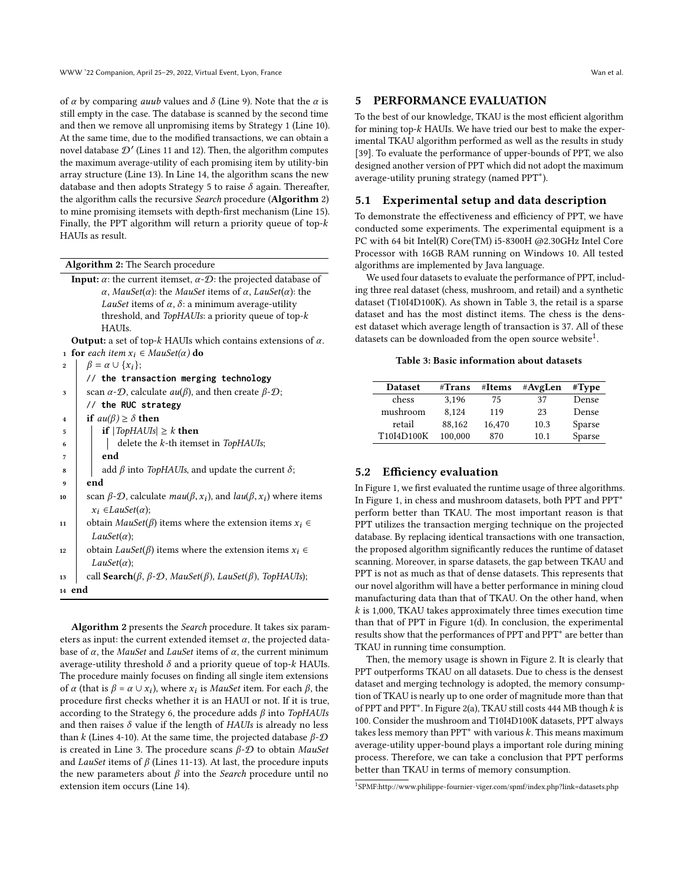of  $\alpha$  by comparing *auub* values and  $\delta$  (Line 9). Note that the  $\alpha$  is still empty in the case. The database is scanned by the second time and then we remove all unpromising items by Strategy [1](#page-3-1) (Line 10). At the same time, due to the modified transactions, we can obtain a novel database  $\mathcal{D}'$  (Lines 11 and 12). Then, the algorithm computes the maximum average-utility of each promising item by utility-bin array structure (Line 13). In Line 14, the algorithm scans the new database and then adopts Strategy [5](#page-4-5) to raise  $\delta$  again. Thereafter, the algorithm calls the recursive Search procedure (Algorithm [2\)](#page-5-1) to mine promising itemsets with depth-first mechanism (Line 15). Finally, the PPT algorithm will return a priority queue of top-k HAUIs as result.

Algorithm 2: The Search procedure

<span id="page-5-1"></span>**Input:**  $\alpha$ : the current itemset,  $\alpha$ - $\mathcal{D}$ : the projected database of α, MauSet(α): the MauSet items of α, LauSet(α): the LauSet items of  $\alpha$ ,  $\delta$ : a minimum average-utility threshold, and TopHAUIs: a priority queue of top-k HAUIs.

**Output:** a set of top-k HAUIs which contains extensions of  $\alpha$ . 1 for each item  $x_i \in \text{MauSet}(\alpha)$  do

| $\beta = \alpha \cup \{x_i\};$                                                                                                    |
|-----------------------------------------------------------------------------------------------------------------------------------|
| // the transaction merging technology                                                                                             |
| scan α-D, calculate $au(β)$ , and then create $β$ -D;                                                                             |
| // the RUC strategy                                                                                                               |
| if $au(\beta) \geq \delta$ then                                                                                                   |
| if $ TopHAUIs  \geq k$ then                                                                                                       |
| delete the $k$ -th itemset in $TopHAUIs$ ;                                                                                        |
| end                                                                                                                               |
| add $\beta$ into <i>TopHAUIs</i> , and update the current $\delta$ ;                                                              |
| end                                                                                                                               |
| scan $\beta$ -D, calculate $mau(\beta, x_i)$ , and $lau(\beta, x_i)$ where items                                                  |
| $x_i \in Lauset(\alpha)$ ;                                                                                                        |
| obtain <i>MauSet(<math>\beta</math>)</i> items where the extension items $x_i \in$                                                |
| $LauSet(\alpha);$                                                                                                                 |
| obtain <i>LauSet(<math>\beta</math>)</i> items where the extension items $x_i \in$                                                |
| $LauSet(\alpha);$                                                                                                                 |
| call <b>Search</b> ( $\beta$ , $\beta$ - $\mathcal{D}$ , <i>MauSet</i> ( $\beta$ ), <i>LauSet</i> ( $\beta$ ), <i>TopHAUIs</i> ); |
| 14 end                                                                                                                            |
|                                                                                                                                   |

Algorithm [2](#page-5-1) presents the Search procedure. It takes six parameters as input: the current extended itemset  $\alpha$ , the projected database of  $\alpha$ , the *MauSet* and *LauSet* items of  $\alpha$ , the current minimum average-utility threshold  $\delta$  and a priority queue of top- $k$  HAUIs. The procedure mainly focuses on finding all single item extensions of  $\alpha$  (that is  $\beta = \alpha \cup x_i$ ), where  $x_i$  is MauSet item. For each  $\beta$ , the procedure first checks whether it is an HAUI or not. If it is true, according to the Strategy [6,](#page-4-6) the procedure adds  $\beta$  into TopHAUIs and then raises  $\delta$  value if the length of HAUIs is already no less than k (Lines 4-10). At the same time, the projected database  $β$ - $D$ is created in Line 3. The procedure scans  $β$ - $D$  to obtain *MauSet* and LauSet items of  $\beta$  (Lines 11-13). At last, the procedure inputs the new parameters about  $\beta$  into the *Search* procedure until no extension item occurs (Line 14).

### <span id="page-5-0"></span>5 PERFORMANCE EVALUATION

To the best of our knowledge, TKAU is the most efficient algorithm for mining top-k HAUIs. We have tried our best to make the experimental TKAU algorithm performed as well as the results in study [\[39\]](#page-8-6). To evaluate the performance of upper-bounds of PPT, we also designed another version of PPT which did not adopt the maximum average-utility pruning strategy (named PPT∗ ).

#### 5.1 Experimental setup and data description

To demonstrate the effectiveness and efficiency of PPT, we have conducted some experiments. The experimental equipment is a PC with 64 bit Intel(R) Core(TM) i5-8300H @2.30GHz Intel Core Processor with 16GB RAM running on Windows 10. All tested algorithms are implemented by Java language.

We used four datasets to evaluate the performance of PPT, including three real dataset (chess, mushroom, and retail) and a synthetic dataset (T10I4D100K). As shown in Table [3,](#page-5-2) the retail is a sparse dataset and has the most distinct items. The chess is the densest dataset which average length of transaction is 37. All of these datasets can be downloaded from the open source website<sup>[1](#page-5-3)</sup>.

#### Table 3: Basic information about datasets

<span id="page-5-2"></span>

| <b>Dataset</b> | #Trans  | #Items | #AvgLen | $\#Type$ |
|----------------|---------|--------|---------|----------|
| chess          | 3.196   | 75     | 37      | Dense    |
| mushroom       | 8.124   | 119    | 23      | Dense    |
| retail         | 88.162  | 16,470 | 10.3    | Sparse   |
| T10I4D100K     | 100.000 | 870    | 10.1    | Sparse   |

#### 5.2 Efficiency evaluation

In Figure [1,](#page-6-1) we first evaluated the runtime usage of three algorithms. In Figure [1,](#page-6-1) in chess and mushroom datasets, both PPT and PPT∗ perform better than TKAU. The most important reason is that PPT utilizes the transaction merging technique on the projected database. By replacing identical transactions with one transaction, the proposed algorithm significantly reduces the runtime of dataset scanning. Moreover, in sparse datasets, the gap between TKAU and PPT is not as much as that of dense datasets. This represents that our novel algorithm will have a better performance in mining cloud manufacturing data than that of TKAU. On the other hand, when k is 1,000, TKAU takes approximately three times execution time than that of PPT in Figure [1\(](#page-6-1)d). In conclusion, the experimental results show that the performances of PPT and PPT∗ are better than TKAU in running time consumption.

Then, the memory usage is shown in Figure [2.](#page-6-2) It is clearly that PPT outperforms TKAU on all datasets. Due to chess is the densest dataset and merging technology is adopted, the memory consumption of TKAU is nearly up to one order of magnitude more than that of PPT and PPT<sup>\*</sup>. In Figure [2\(](#page-6-2)a), TKAU still costs 444 MB though k is<br>100. Consider the much room and T10I4D100K datasets. PPT always 100. Consider the mushroom and T10I4D100K datasets, PPT always takes less memory than PPT $*$  with various  $k$ . This means maximum average-utility upper-bound plays a important role during mining process. Therefore, we can take a conclusion that PPT performs better than TKAU in terms of memory consumption.

<span id="page-5-3"></span><sup>&</sup>lt;sup>1</sup>SPMF[:http://www.philippe-fournier-viger.com/spmf/index.php?link=datasets.php](http://www.philippe-fournier-viger.com/spmf/index.php?link=datasets.php)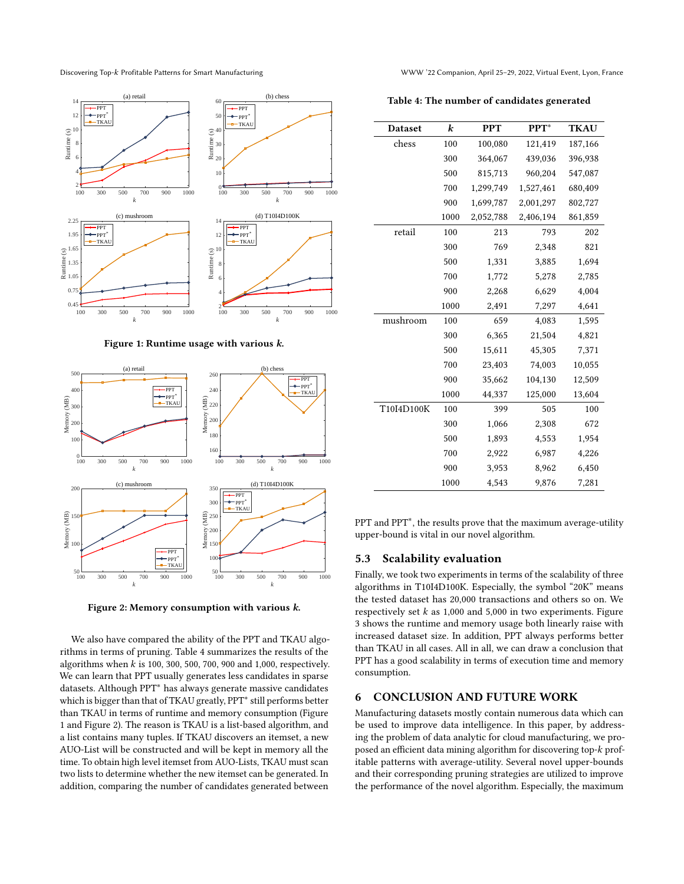<span id="page-6-1"></span>

Figure 1: Runtime usage with various k.

<span id="page-6-2"></span>

Figure 2: Memory consumption with various k.

We also have compared the ability of the PPT and TKAU algorithms in terms of pruning. Table [4](#page-6-3) summarizes the results of the algorithms when  $k$  is 100, 300, 500, 700, 900 and 1,000, respectively. We can learn that PPT usually generates less candidates in sparse datasets. Although PPT∗ has always generate massive candidates which is bigger than that of TKAU greatly, PPT∗ still performs better than TKAU in terms of runtime and memory consumption (Figure [1](#page-6-1) and Figure [2\)](#page-6-2). The reason is TKAU is a list-based algorithm, and a list contains many tuples. If TKAU discovers an itemset, a new AUO-List will be constructed and will be kept in memory all the time. To obtain high level itemset from AUO-Lists, TKAU must scan two lists to determine whether the new itemset can be generated. In addition, comparing the number of candidates generated between

<span id="page-6-3"></span>Table 4: The number of candidates generated

| <b>Dataset</b> | k    | <b>PPT</b> | $PPT^*$   | <b>TKAU</b> |
|----------------|------|------------|-----------|-------------|
| chess          | 100  | 100,080    | 121,419   | 187,166     |
|                | 300  | 364,067    | 439,036   | 396,938     |
|                | 500  | 815,713    | 960,204   | 547,087     |
|                | 700  | 1,299,749  | 1,527,461 | 680,409     |
|                | 900  | 1,699,787  | 2,001,297 | 802,727     |
|                | 1000 | 2,052,788  | 2,406,194 | 861,859     |
| retail         | 100  | 213        | 793       | 202         |
|                | 300  | 769        | 2,348     | 821         |
|                | 500  | 1,331      | 3,885     | 1,694       |
|                | 700  | 1,772      | 5,278     | 2,785       |
|                | 900  | 2,268      | 6,629     | 4,004       |
|                | 1000 | 2,491      | 7,297     | 4,641       |
| mushroom       | 100  | 659        | 4,083     | 1,595       |
|                | 300  | 6,365      | 21,504    | 4,821       |
|                | 500  | 15,611     | 45,305    | 7,371       |
|                | 700  | 23,403     | 74,003    | 10,055      |
|                | 900  | 35,662     | 104,130   | 12,509      |
|                | 1000 | 44,337     | 125,000   | 13,604      |
| T10I4D100K     | 100  | 399        | 505       | 100         |
|                | 300  | 1,066      | 2,308     | 672         |
|                | 500  | 1,893      | 4,553     | 1,954       |
|                | 700  | 2,922      | 6,987     | 4,226       |
|                | 900  | 3,953      | 8,962     | 6,450       |
|                | 1000 | 4,543      | 9,876     | 7,281       |

PPT and PPT<sup>\*</sup>, the results prove that the maximum average-utility upper-bound is vital in our novel algorithm.

#### 5.3 Scalability evaluation

Finally, we took two experiments in terms of the scalability of three algorithms in T10I4D100K. Especially, the symbol "20K" means the tested dataset has 20,000 transactions and others so on. We respectively set  $k$  as 1,000 and 5,000 in two experiments. Figure [3](#page-7-30) shows the runtime and memory usage both linearly raise with increased dataset size. In addition, PPT always performs better than TKAU in all cases. All in all, we can draw a conclusion that PPT has a good scalability in terms of execution time and memory consumption.

# <span id="page-6-0"></span>6 CONCLUSION AND FUTURE WORK

Manufacturing datasets mostly contain numerous data which can be used to improve data intelligence. In this paper, by addressing the problem of data analytic for cloud manufacturing, we proposed an efficient data mining algorithm for discovering top-k profitable patterns with average-utility. Several novel upper-bounds and their corresponding pruning strategies are utilized to improve the performance of the novel algorithm. Especially, the maximum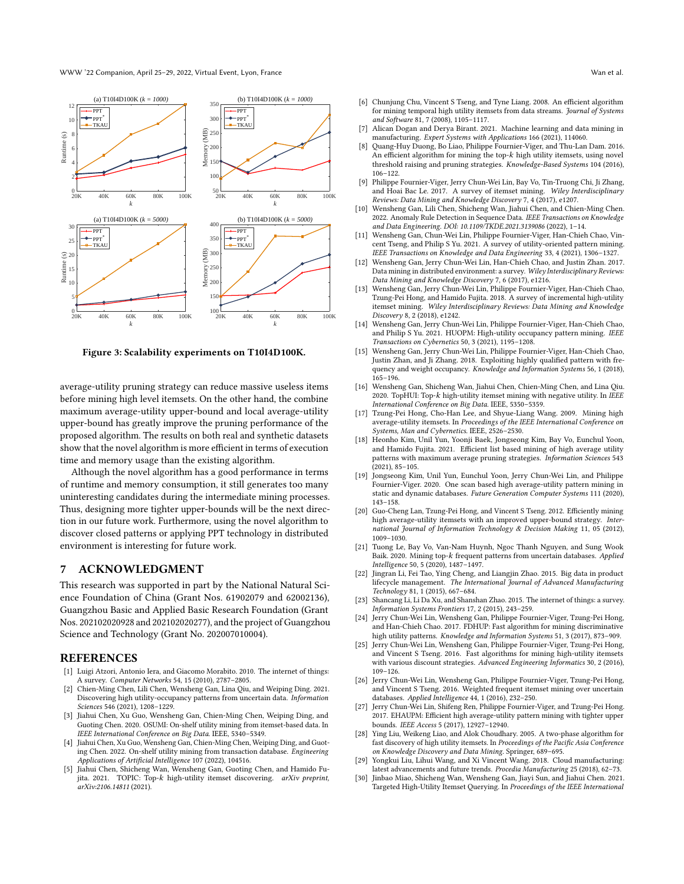<span id="page-7-30"></span>

Figure 3: Scalability experiments on T10I4D100K.

average-utility pruning strategy can reduce massive useless items before mining high level itemsets. On the other hand, the combine maximum average-utility upper-bound and local average-utility upper-bound has greatly improve the pruning performance of the proposed algorithm. The results on both real and synthetic datasets show that the novel algorithm is more efficient in terms of execution time and memory usage than the existing algorithm.

Although the novel algorithm has a good performance in terms of runtime and memory consumption, it still generates too many uninteresting candidates during the intermediate mining processes. Thus, designing more tighter upper-bounds will be the next direction in our future work. Furthermore, using the novel algorithm to discover closed patterns or applying PPT technology in distributed environment is interesting for future work.

## 7 ACKNOWLEDGMENT

This research was supported in part by the National Natural Science Foundation of China (Grant Nos. 61902079 and 62002136), Guangzhou Basic and Applied Basic Research Foundation (Grant Nos. 202102020928 and 202102020277), and the project of Guangzhou Science and Technology (Grant No. 202007010004).

#### REFERENCES

- <span id="page-7-0"></span>[1] Luigi Atzori, Antonio Iera, and Giacomo Morabito. 2010. The internet of things: A survey. Computer Networks 54, 15 (2010), 2787–2805.
- <span id="page-7-8"></span>[2] Chien-Ming Chen, Lili Chen, Wensheng Gan, Lina Qiu, and Weiping Ding. 2021. Discovering high utility-occupancy patterns from uncertain data. Information Sciences 546 (2021), 1208–1229.
- <span id="page-7-9"></span>[3] Jiahui Chen, Xu Guo, Wensheng Gan, Chien-Ming Chen, Weiping Ding, and Guoting Chen. 2020. OSUMI: On-shelf utility mining from itemset-based data. In IEEE International Conference on Big Data. IEEE, 5340–5349.
- <span id="page-7-13"></span>[4] Jiahui Chen, Xu Guo, Wensheng Gan, Chien-Ming Chen, Weiping Ding, and Guoting Chen. 2022. On-shelf utility mining from transaction database. Engineering Applications of Artificial Intelligence 107 (2022), 104516.
- <span id="page-7-18"></span>[5] Jiahui Chen, Shicheng Wan, Wensheng Gan, Guoting Chen, and Hamido Fujita. 2021. TOPIC: Top-k high-utility itemset discovering. arXiv preprint, arXiv:2106.14811 (2021).
- <span id="page-7-12"></span>for mining temporal high utility itemsets from data streams. Journal of Systems and Software 81, 7 (2008), 1105–1117.
- <span id="page-7-21"></span>[7] Alican Dogan and Derya Birant. 2021. Machine learning and data mining in manufacturing. Expert Systems with Applications 166 (2021), 114060.
- <span id="page-7-27"></span>[8] Quang-Huy Duong, Bo Liao, Philippe Fournier-Viger, and Thu-Lan Dam. 2016. An efficient algorithm for mining the top- $k$  high utility itemsets, using novel threshold raising and pruning strategies. Knowledge-Based Systems 104 (2016), 106–122.
- <span id="page-7-3"></span>[9] Philippe Fournier-Viger, Jerry Chun-Wei Lin, Bay Vo, Tin-Truong Chi, Ji Zhang, and Hoai Bac Le. 2017. A survey of itemset mining. Wiley Interdisciplinary Reviews: Data Mining and Knowledge Discovery 7, 4 (2017), e1207.
- <span id="page-7-4"></span>[10] Wensheng Gan, Lili Chen, Shicheng Wan, Jiahui Chen, and Chien-Ming Chen. 2022. Anomaly Rule Detection in Sequence Data. IEEE Transactions on Knowledge and Data Engineering. DOI: 10.1109/TKDE.2021.3139086 (2022), 1–14.
- <span id="page-7-10"></span>[11] Wensheng Gan, Chun-Wei Lin, Philippe Fournier-Viger, Han-Chieh Chao, Vincent Tseng, and Philip S Yu. 2021. A survey of utility-oriented pattern mining. IEEE Transactions on Knowledge and Data Engineering 33, 4 (2021), 1306–1327.
- <span id="page-7-22"></span>[12] Wensheng Gan, Jerry Chun-Wei Lin, Han-Chieh Chao, and Justin Zhan. 2017. Data mining in distributed environment: a survey. Wiley Interdisciplinary Reviews: Data Mining and Knowledge Discovery 7, 6 (2017), e1216.
- <span id="page-7-25"></span>[13] Wensheng Gan, Jerry Chun-Wei Lin, Philippe Fournier-Viger, Han-Chieh Chao, Tzung-Pei Hong, and Hamido Fujita. 2018. A survey of incremental high-utility itemset mining. Wiley Interdisciplinary Reviews: Data Mining and Knowledge Discovery 8, 2 (2018), e1242.
- <span id="page-7-23"></span>[14] Wensheng Gan, Jerry Chun-Wei Lin, Philippe Fournier-Viger, Han-Chieh Chao, and Philip S Yu. 2021. HUOPM: High-utility occupancy pattern mining. IEEE Transactions on Cybernetics 50, 3 (2021), 1195–1208.
- <span id="page-7-5"></span>[15] Wensheng Gan, Jerry Chun-Wei Lin, Philippe Fournier-Viger, Han-Chieh Chao, Justin Zhan, and Ji Zhang. 2018. Exploiting highly qualified pattern with frequency and weight occupancy. Knowledge and Information Systems 56, 1 (2018), 165–196.
- <span id="page-7-19"></span>[16] Wensheng Gan, Shicheng Wan, Jiahui Chen, Chien-Ming Chen, and Lina Qiu. 2020. TopHUI: Top-k high-utility itemset mining with negative utility. In IEEE International Conference on Big Data. IEEE, 5350–5359.
- <span id="page-7-14"></span>[17] Tzung-Pei Hong, Cho-Han Lee, and Shyue-Liang Wang. 2009. Mining high average-utility itemsets. In Proceedings of the IEEE International Conference on Systems, Man and Cybernetics. IEEE, 2526–2530.
- <span id="page-7-15"></span>[18] Heonho Kim, Unil Yun, Yoonji Baek, Jongseong Kim, Bay Vo, Eunchul Yoon, and Hamido Fujita. 2021. Efficient list based mining of high average utility patterns with maximum average pruning strategies. Information Sciences 543 (2021), 85–105.
- <span id="page-7-16"></span>[19] Jongseong Kim, Unil Yun, Eunchul Yoon, Jerry Chun-Wei Lin, and Philippe Fournier-Viger. 2020. One scan based high average-utility pattern mining in static and dynamic databases. Future Generation Computer Systems 111 (2020), 143–158.
- <span id="page-7-28"></span>[20] Guo-Cheng Lan, Tzung-Pei Hong, and Vincent S Tseng. 2012. Efficiently mining high average-utility itemsets with an improved upper-bound strategy. International Journal of Information Technology & Decision Making 11, 05 (2012), 1009–1030.
- <span id="page-7-17"></span>[21] Tuong Le, Bay Vo, Van-Nam Huynh, Ngoc Thanh Nguyen, and Sung Wook Baik. 2020. Mining top-k frequent patterns from uncertain databases. Applied Intelligence 50, 5 (2020), 1487–1497.
- <span id="page-7-2"></span>[22] Jingran Li, Fei Tao, Ying Cheng, and Liangjin Zhao. 2015. Big data in product lifecycle management. The International Journal of Advanced Manufacturing Technology 81, 1 (2015), 667–684.
- <span id="page-7-1"></span>[23] Shancang Li, Li Da Xu, and Shanshan Zhao. 2015. The internet of things: a survey. Information Systems Frontiers 17, 2 (2015), 243–259.
- <span id="page-7-11"></span>[24] Jerry Chun-Wei Lin, Wensheng Gan, Philippe Fournier-Viger, Tzung-Pei Hong, and Han-Chieh Chao. 2017. FDHUP: Fast algorithm for mining discriminative high utility patterns. Knowledge and Information Systems 51, 3 (2017), 873–909.
- <span id="page-7-24"></span>[25] Jerry Chun-Wei Lin, Wensheng Gan, Philippe Fournier-Viger, Tzung-Pei Hong, and Vincent S Tseng. 2016. Fast algorithms for mining high-utility itemsets with various discount strategies. Advanced Engineering Informatics 30, 2 (2016), 109–126.
- <span id="page-7-6"></span>[26] Jerry Chun-Wei Lin, Wensheng Gan, Philippe Fournier-Viger, Tzung-Pei Hong, and Vincent S Tseng. 2016. Weighted frequent itemset mining over uncertain databases. Applied Intelligence 44, 1 (2016), 232–250.
- <span id="page-7-26"></span>[27] Jerry Chun-Wei Lin, Shifeng Ren, Philippe Fournier-Viger, and Tzung-Pei Hong. 2017. EHAUPM: Efficient high average-utility pattern mining with tighter upper bounds. IEEE Access 5 (2017), 12927–12940.
- <span id="page-7-29"></span>[28] Ying Liu, Weikeng Liao, and Alok Choudhary. 2005. A two-phase algorithm for fast discovery of high utility itemsets. In Proceedings of the Pacific Asia Conference on Knowledge Discovery and Data Mining. Springer, 689–695.
- <span id="page-7-20"></span>Yongkui Liu, Lihui Wang, and Xi Vincent Wang. 2018. Cloud manufacturing: latest advancements and future trends. Procedia Manufacturing 25 (2018), 62–73.
- <span id="page-7-7"></span>[30] Jinbao Miao, Shicheng Wan, Wensheng Gan, Jiayi Sun, and Jiahui Chen. 2021. Targeted High-Utility Itemset Querying. In Proceedings of the IEEE International